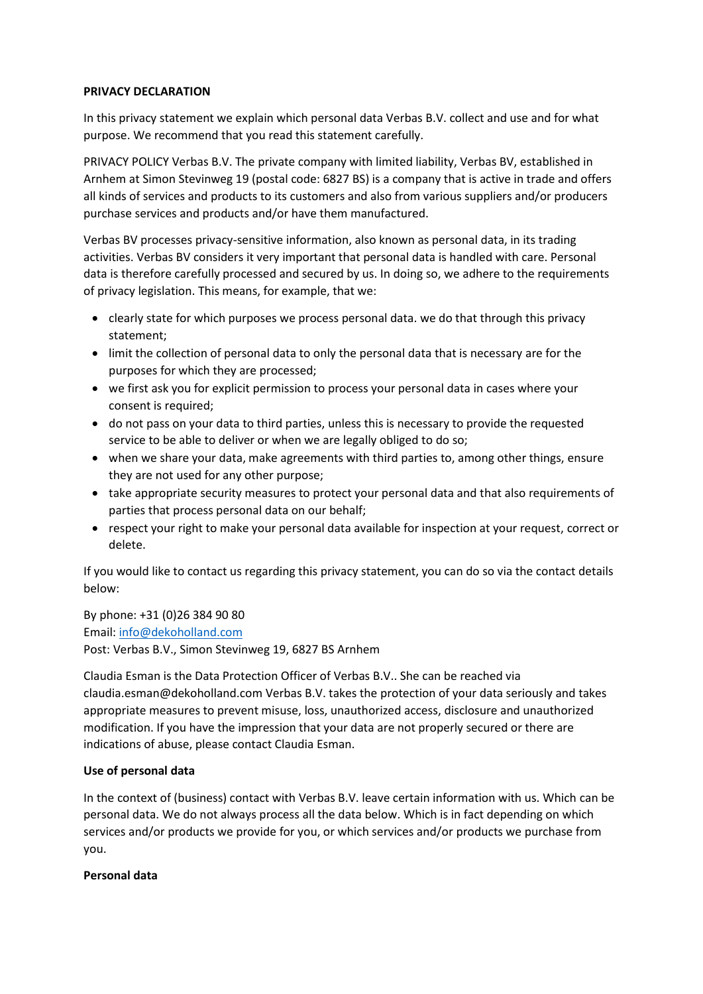## **PRIVACY DECLARATION**

In this privacy statement we explain which personal data Verbas B.V. collect and use and for what purpose. We recommend that you read this statement carefully.

PRIVACY POLICY Verbas B.V. The private company with limited liability, Verbas BV, established in Arnhem at Simon Stevinweg 19 (postal code: 6827 BS) is a company that is active in trade and offers all kinds of services and products to its customers and also from various suppliers and/or producers purchase services and products and/or have them manufactured.

Verbas BV processes privacy-sensitive information, also known as personal data, in its trading activities. Verbas BV considers it very important that personal data is handled with care. Personal data is therefore carefully processed and secured by us. In doing so, we adhere to the requirements of privacy legislation. This means, for example, that we:

- clearly state for which purposes we process personal data. we do that through this privacy statement;
- limit the collection of personal data to only the personal data that is necessary are for the purposes for which they are processed;
- we first ask you for explicit permission to process your personal data in cases where your consent is required;
- do not pass on your data to third parties, unless this is necessary to provide the requested service to be able to deliver or when we are legally obliged to do so;
- when we share your data, make agreements with third parties to, among other things, ensure they are not used for any other purpose;
- take appropriate security measures to protect your personal data and that also requirements of parties that process personal data on our behalf;
- respect your right to make your personal data available for inspection at your request, correct or delete.

If you would like to contact us regarding this privacy statement, you can do so via the contact details below:

By phone: +31 (0)26 384 90 80 Email: [info@dekoholland.com](mailto:info@dekoholland.com) Post: Verbas B.V., Simon Stevinweg 19, 6827 BS Arnhem

Claudia Esman is the Data Protection Officer of Verbas B.V.. She can be reached via claudia.esman@dekoholland.com Verbas B.V. takes the protection of your data seriously and takes appropriate measures to prevent misuse, loss, unauthorized access, disclosure and unauthorized modification. If you have the impression that your data are not properly secured or there are indications of abuse, please contact Claudia Esman.

## **Use of personal data**

In the context of (business) contact with Verbas B.V. leave certain information with us. Which can be personal data. We do not always process all the data below. Which is in fact depending on which services and/or products we provide for you, or which services and/or products we purchase from you.

## **Personal data**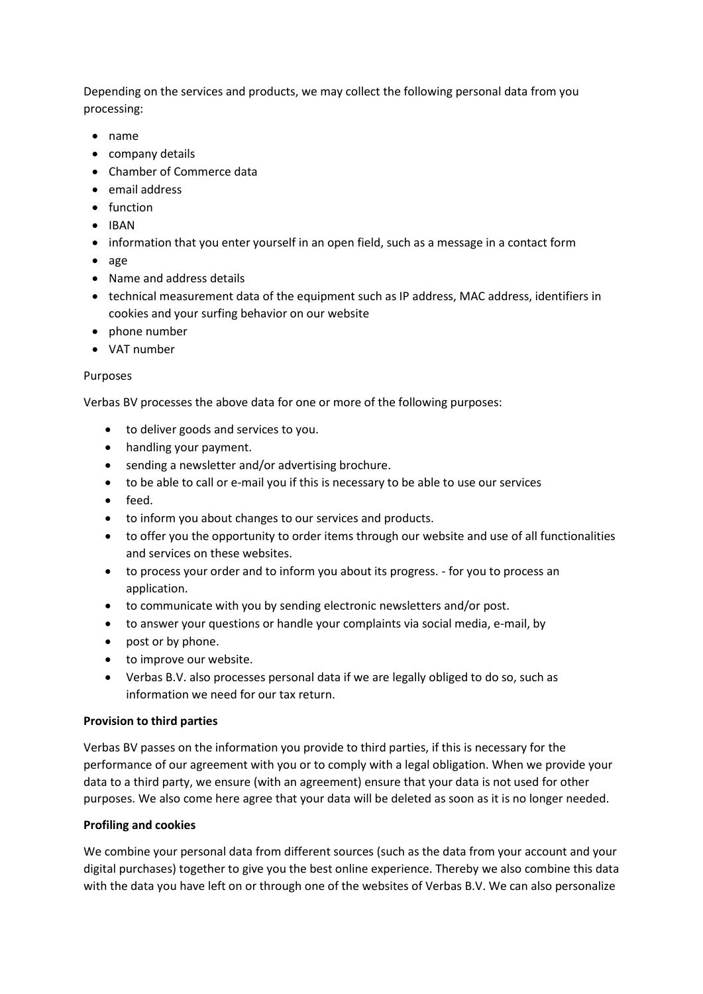Depending on the services and products, we may collect the following personal data from you processing:

- name
- company details
- Chamber of Commerce data
- email address
- function
- IBAN
- information that you enter yourself in an open field, such as a message in a contact form
- age
- Name and address details
- technical measurement data of the equipment such as IP address, MAC address, identifiers in cookies and your surfing behavior on our website
- phone number
- VAT number

## Purposes

Verbas BV processes the above data for one or more of the following purposes:

- to deliver goods and services to you.
- handling your payment.
- sending a newsletter and/or advertising brochure.
- to be able to call or e-mail you if this is necessary to be able to use our services
- feed.
- to inform you about changes to our services and products.
- to offer you the opportunity to order items through our website and use of all functionalities and services on these websites.
- to process your order and to inform you about its progress. for you to process an application.
- to communicate with you by sending electronic newsletters and/or post.
- to answer your questions or handle your complaints via social media, e-mail, by
- post or by phone.
- to improve our website.
- Verbas B.V. also processes personal data if we are legally obliged to do so, such as information we need for our tax return.

## **Provision to third parties**

Verbas BV passes on the information you provide to third parties, if this is necessary for the performance of our agreement with you or to comply with a legal obligation. When we provide your data to a third party, we ensure (with an agreement) ensure that your data is not used for other purposes. We also come here agree that your data will be deleted as soon as it is no longer needed.

## **Profiling and cookies**

We combine your personal data from different sources (such as the data from your account and your digital purchases) together to give you the best online experience. Thereby we also combine this data with the data you have left on or through one of the websites of Verbas B.V. We can also personalize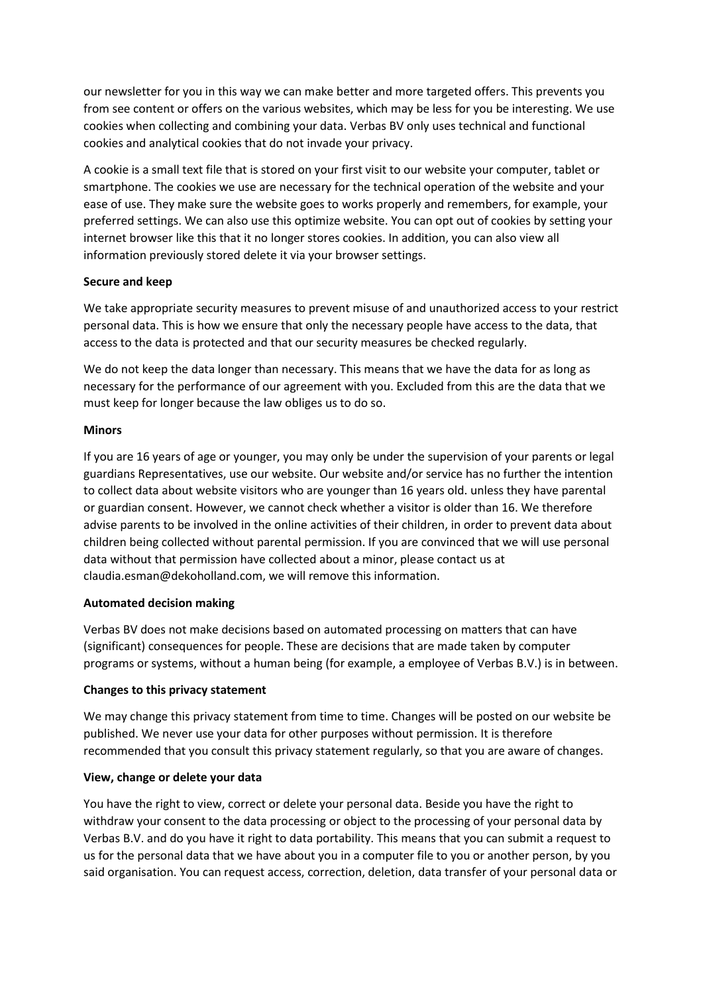our newsletter for you in this way we can make better and more targeted offers. This prevents you from see content or offers on the various websites, which may be less for you be interesting. We use cookies when collecting and combining your data. Verbas BV only uses technical and functional cookies and analytical cookies that do not invade your privacy.

A cookie is a small text file that is stored on your first visit to our website your computer, tablet or smartphone. The cookies we use are necessary for the technical operation of the website and your ease of use. They make sure the website goes to works properly and remembers, for example, your preferred settings. We can also use this optimize website. You can opt out of cookies by setting your internet browser like this that it no longer stores cookies. In addition, you can also view all information previously stored delete it via your browser settings.

# **Secure and keep**

We take appropriate security measures to prevent misuse of and unauthorized access to your restrict personal data. This is how we ensure that only the necessary people have access to the data, that access to the data is protected and that our security measures be checked regularly.

We do not keep the data longer than necessary. This means that we have the data for as long as necessary for the performance of our agreement with you. Excluded from this are the data that we must keep for longer because the law obliges us to do so.

## **Minors**

If you are 16 years of age or younger, you may only be under the supervision of your parents or legal guardians Representatives, use our website. Our website and/or service has no further the intention to collect data about website visitors who are younger than 16 years old. unless they have parental or guardian consent. However, we cannot check whether a visitor is older than 16. We therefore advise parents to be involved in the online activities of their children, in order to prevent data about children being collected without parental permission. If you are convinced that we will use personal data without that permission have collected about a minor, please contact us at claudia.esman@dekoholland.com, we will remove this information.

## **Automated decision making**

Verbas BV does not make decisions based on automated processing on matters that can have (significant) consequences for people. These are decisions that are made taken by computer programs or systems, without a human being (for example, a employee of Verbas B.V.) is in between.

## **Changes to this privacy statement**

We may change this privacy statement from time to time. Changes will be posted on our website be published. We never use your data for other purposes without permission. It is therefore recommended that you consult this privacy statement regularly, so that you are aware of changes.

## **View, change or delete your data**

You have the right to view, correct or delete your personal data. Beside you have the right to withdraw your consent to the data processing or object to the processing of your personal data by Verbas B.V. and do you have it right to data portability. This means that you can submit a request to us for the personal data that we have about you in a computer file to you or another person, by you said organisation. You can request access, correction, deletion, data transfer of your personal data or